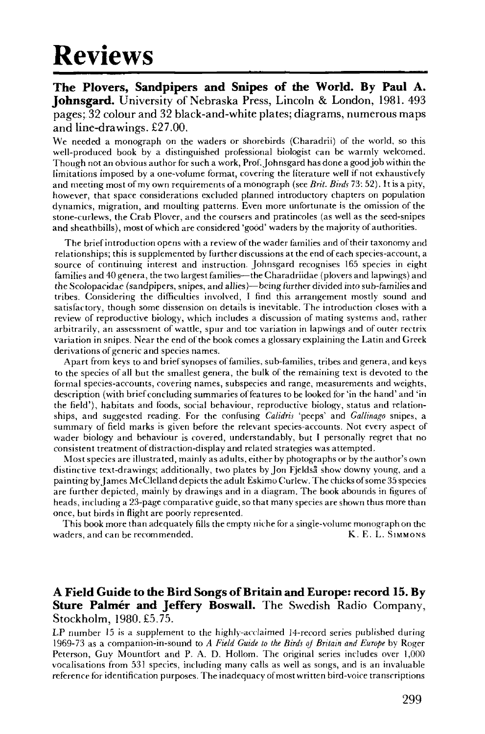## Reviews

**The Plovers, Sandpipers and Snipes of the World. By Paul A. Johnsgard.** University of Nebraska Press, Lincoln & London, 1981. 493 pages; 32 colour and 32 black-and-white plates; diagrams, numerous maps and line-drawings. £27.00.

We needed a monograph on the waders or shorebirds (Charadrii) of the world, so this well-produced book by a distinguished professional biologist can be warmly welcomed. Though not an obvious author for such a work, Prof. Johnsgard has done a good job within the limitations imposed by a one-volume format, covering the literature well if not exhaustively and meeting most of my own requirements of a monograph (see *Brit. Birds* 73: 52). It is a pity, however, that space considerations excluded planned introductory chapters on population dynamics, migration, and moulting patterns. Even more unfortunate is the omission of the stone-curlews, the Crab Plover, and the coursers and pratincoles (as well as the seed-snipes and sheathbills), most of which are considered 'good' waders by the majority of authorities.

The brief introduction opens with a review of the wader families and of their taxonomy and relationships; this is supplemented by further discussions at the end of each species-account, a source of continuing interest and instruction. Johnsgard recognises 165 species in eight families and 40 genera, the two largest families—the Charadriidae (plovers and lapwings) and the Scolopacidae (sandpipers, snipes, and allies)—being further divided into sub-families and tribes. Considering the difficulties involved, I find this arrangement mostly sound and satisfactory, though some dissension on details is inevitable. The introduction closes with a review of reproductive biology, which includes a discussion of mating systems and, rather arbitrarily, an assessment of wattle, spur and toe variation in lapwings and of outer rectrix variation in snipes. Near the end of the book comes a glossary explaining the Latin and Greek derivations of generic and species names.

Apart from keys to and brief synopses of families, sub-families, tribes and genera, and keys to the species of all but the smallest genera, the bulk of the remaining text is devoted to the formal species-accounts, covering names, subspecies and range, measurements and weights, description (with brief concluding summaries of features to be looked for 'in the hand' and 'in the field'), habitats and foods, social behaviour, reproductive biology, status and relationships, and suggested reading. For the confusing *Calidris* 'peeps' and *Gallinago* snipes, a summary of field marks is given before the relevant species-accounts. Not every aspect of wader biology and behaviour is covered, understandably, but I personally regret that no consistent treatment of distraction-display and related strategies was attempted.

Most species are illustrated, mainly as adults, either by photographs or by the author's own distinctive text-drawings; additionally, two plates by Jon Fjeldsa show downy young, and a painting by James McClelland depicts the adult Eskimo Curlew. The chicks of some 35 species are further depicted, mainly by drawings and in a diagram. The book abounds in figures of heads, including a 23-page comparative guide, so that many species are shown thus more than once, but birds in flight are poorly represented.

This book more than adequately fills the empty niche for a single-volume monograph on the waders, and can be recommended. The same state of the set of the K. E. L. SIMMONS

## **A Field Guide to die Bird Songs of Britain and Europe: record 15. By Sture Palmér and Jeffery Boswall.** The Swedish Radio Company, Stockholm, 1980. £5.75.

LP number 15 is a supplement to the highly-acclaimed 14-record series published during 1969-73 as a companion-in-sound to *A Field Guide to the Birds qj Britain and Europe* by Roger Peterson, Guy Mountfort and P. A. D. Hollom. The original series includes over 1,000 vocalisations from 531 species, including many calls as well as songs, and is an invaluable reference for identification purposes. The inadequacy of most written bird-voice transcriptions